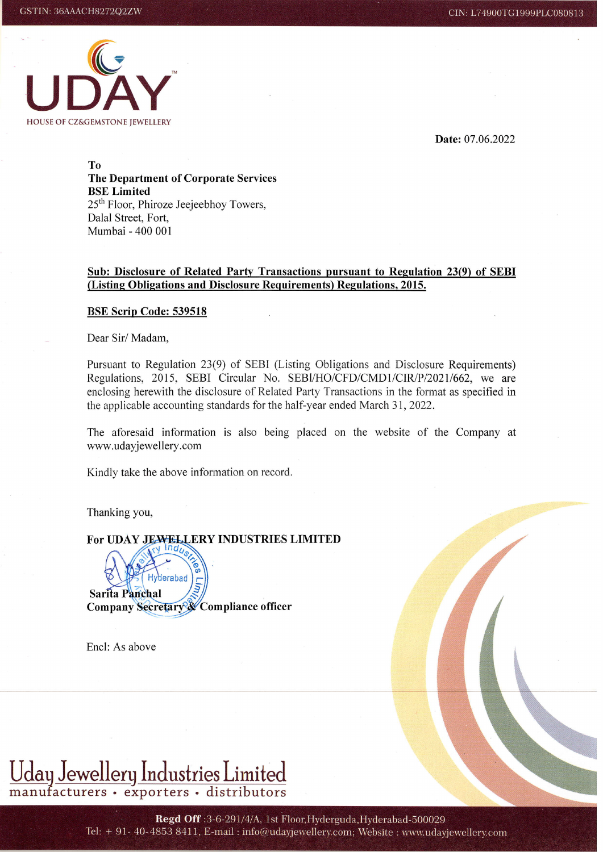

Date: 07.06.2022

To The Department of Corporate Services BSE Limited 25th Floor, Phiroze Jeejeebhoy Towers, Dalal Street, Fort, Mumbai - 400 001

## Sub: Disclosure of Related Partv Transactions pursuant to Regulation 23(9) of SEBI (Listing Obligations and Disclosure Requirements) Regulations, 2015.

## BSE Scrip Code: 539518

Dear Sir/ Madam,

Pursuant to Regulation 23(9) of SEBI (Listing Obligations and Disclosure Requirements) Regulations, 2015, SEBI Circular No. SEBI/HO/CFD/CMD1/CIR/P/2021/662, we are enclosing herewith the disclosure of Related Party Transactions in the format as specified in the applicable accounting standards for the half-year ended March 31, 2022.

The aforesaid information is also being placed on the website of the Company at www.udayjewellery.com

Kindly take the above information on record.

Thanking you,

For UDAY JEWELLERY INDUSTRIES LIMITED

herabad Sarita Panchal Company Secretary & Compliance officer

Encl: As above



Regd Off: 3-6-291/4/A, 1st Floor, Hyderguda, Hyderabad-500029 Tel: + 91- 40-4853 8411, E-mail: info@udayjewellery.com; Website: www.udayjewellery.com